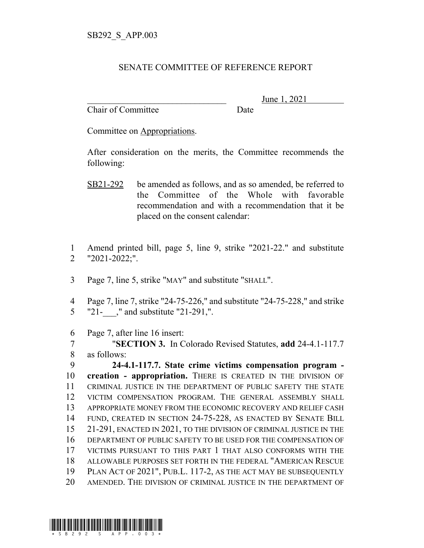## SENATE COMMITTEE OF REFERENCE REPORT

Chair of Committee Date

June 1, 2021

Committee on Appropriations.

After consideration on the merits, the Committee recommends the following:

- SB21-292 be amended as follows, and as so amended, be referred to the Committee of the Whole with favorable recommendation and with a recommendation that it be placed on the consent calendar:
- 1 Amend printed bill, page 5, line 9, strike "2021-22." and substitute 2 "2021-2022;".
- 3 Page 7, line 5, strike "MAY" and substitute "SHALL".
- 4 Page 7, line 7, strike "24-75-226," and substitute "24-75-228," and strike 5 "21-," and substitute "21-291,".
- 6 Page 7, after line 16 insert:

7 "**SECTION 3.** In Colorado Revised Statutes, **add** 24-4.1-117.7 8 as follows:

 **24-4.1-117.7. State crime victims compensation program - creation - appropriation.** THERE IS CREATED IN THE DIVISION OF CRIMINAL JUSTICE IN THE DEPARTMENT OF PUBLIC SAFETY THE STATE VICTIM COMPENSATION PROGRAM. THE GENERAL ASSEMBLY SHALL APPROPRIATE MONEY FROM THE ECONOMIC RECOVERY AND RELIEF CASH FUND, CREATED IN SECTION 24-75-228, AS ENACTED BY SENATE BILL 21-291, ENACTED IN 2021, TO THE DIVISION OF CRIMINAL JUSTICE IN THE DEPARTMENT OF PUBLIC SAFETY TO BE USED FOR THE COMPENSATION OF VICTIMS PURSUANT TO THIS PART 1 THAT ALSO CONFORMS WITH THE ALLOWABLE PURPOSES SET FORTH IN THE FEDERAL "AMERICAN RESCUE PLAN ACT OF 2021", PUB.L. 117-2, AS THE ACT MAY BE SUBSEQUENTLY AMENDED. THE DIVISION OF CRIMINAL JUSTICE IN THE DEPARTMENT OF

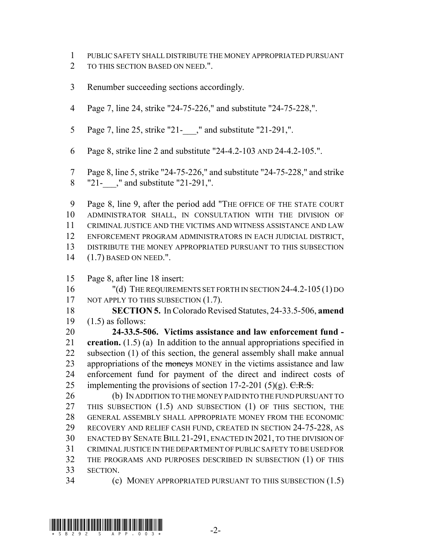- PUBLIC SAFETY SHALL DISTRIBUTE THE MONEY APPROPRIATED PURSUANT
- 2 TO THIS SECTION BASED ON NEED.".
- Renumber succeeding sections accordingly.
- Page 7, line 24, strike "24-75-226," and substitute "24-75-228,".
- 5 Page 7, line 25, strike "21-," and substitute "21-291,".
- Page 8, strike line 2 and substitute "24-4.2-103 AND 24-4.2-105.".
- Page 8, line 5, strike "24-75-226," and substitute "24-75-228," and strike 8 "21-," and substitute "21-291,".

 Page 8, line 9, after the period add "THE OFFICE OF THE STATE COURT ADMINISTRATOR SHALL, IN CONSULTATION WITH THE DIVISION OF CRIMINAL JUSTICE AND THE VICTIMS AND WITNESS ASSISTANCE AND LAW ENFORCEMENT PROGRAM ADMINISTRATORS IN EACH JUDICIAL DISTRICT, DISTRIBUTE THE MONEY APPROPRIATED PURSUANT TO THIS SUBSECTION (1.7) BASED ON NEED.".

Page 8, after line 18 insert:

 "(d) THE REQUIREMENTS SET FORTH IN SECTION 24-4.2-105 (1) DO 17 NOT APPLY TO THIS SUBSECTION (1.7).

 **SECTION 5.** In Colorado Revised Statutes, 24-33.5-506, **amend** (1.5) as follows:

 **24-33.5-506. Victims assistance and law enforcement fund - creation.** (1.5) (a) In addition to the annual appropriations specified in subsection (1) of this section, the general assembly shall make annual 23 appropriations of the moneys MONEY in the victims assistance and law enforcement fund for payment of the direct and indirect costs of 25 implementing the provisions of section 17-2-201 (5)(g).  $C.R.S.$ 

26 (b) IN ADDITION TO THE MONEY PAID INTO THE FUND PURSUANT TO THIS SUBSECTION (1.5) AND SUBSECTION (1) OF THIS SECTION, THE GENERAL ASSEMBLY SHALL APPROPRIATE MONEY FROM THE ECONOMIC RECOVERY AND RELIEF CASH FUND, CREATED IN SECTION 24-75-228, AS ENACTED BY SENATE BILL 21-291, ENACTED IN 2021, TO THE DIVISION OF CRIMINAL JUSTICE IN THE DEPARTMENT OF PUBLIC SAFETY TO BE USED FOR THE PROGRAMS AND PURPOSES DESCRIBED IN SUBSECTION (1) OF THIS SECTION.

(c) MONEY APPROPRIATED PURSUANT TO THIS SUBSECTION (1.5)

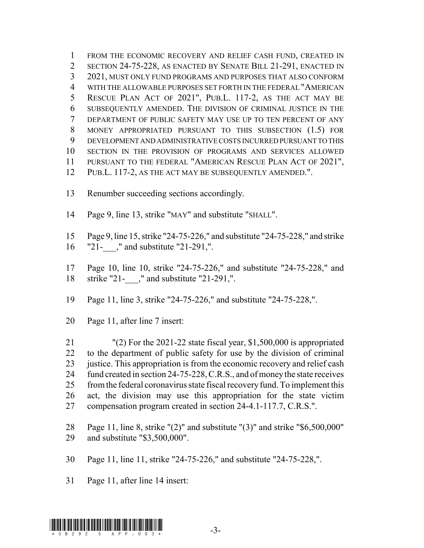FROM THE ECONOMIC RECOVERY AND RELIEF CASH FUND, CREATED IN SECTION 24-75-228, AS ENACTED BY SENATE BILL 21-291, ENACTED IN 2021, MUST ONLY FUND PROGRAMS AND PURPOSES THAT ALSO CONFORM WITH THE ALLOWABLE PURPOSES SET FORTH IN THE FEDERAL "AMERICAN RESCUE PLAN ACT OF 2021", PUB.L. 117-2, AS THE ACT MAY BE SUBSEQUENTLY AMENDED. THE DIVISION OF CRIMINAL JUSTICE IN THE DEPARTMENT OF PUBLIC SAFETY MAY USE UP TO TEN PERCENT OF ANY MONEY APPROPRIATED PURSUANT TO THIS SUBSECTION (1.5) FOR DEVELOPMENT AND ADMINISTRATIVE COSTS INCURRED PURSUANT TO THIS SECTION IN THE PROVISION OF PROGRAMS AND SERVICES ALLOWED 11 PURSUANT TO THE FEDERAL "AMERICAN RESCUE PLAN ACT OF 2021", PUB.L. 117-2, AS THE ACT MAY BE SUBSEQUENTLY AMENDED.".

- Renumber succeeding sections accordingly.
- Page 9, line 13, strike "MAY" and substitute "SHALL".
- Page 9, line 15, strike "24-75-226," and substitute "24-75-228," and strike
- 16 "21-," and substitute "21-291,".
- Page 10, line 10, strike "24-75-226," and substitute "24-75-228," and strike "21-\_\_\_," and substitute "21-291,".
- Page 11, line 3, strike "24-75-226," and substitute "24-75-228,".
- Page 11, after line 7 insert:

 "(2) For the 2021-22 state fiscal year, \$1,500,000 is appropriated to the department of public safety for use by the division of criminal 23 justice. This appropriation is from the economic recovery and relief cash fund created in section 24-75-228, C.R.S., and of money the state receives from the federal coronavirus state fiscal recovery fund. To implement this act, the division may use this appropriation for the state victim compensation program created in section 24-4.1-117.7, C.R.S.".

 Page 11, line 8, strike "(2)" and substitute "(3)" and strike "\$6,500,000" and substitute "\$3,500,000".

Page 11, line 11, strike "24-75-226," and substitute "24-75-228,".

Page 11, after line 14 insert:

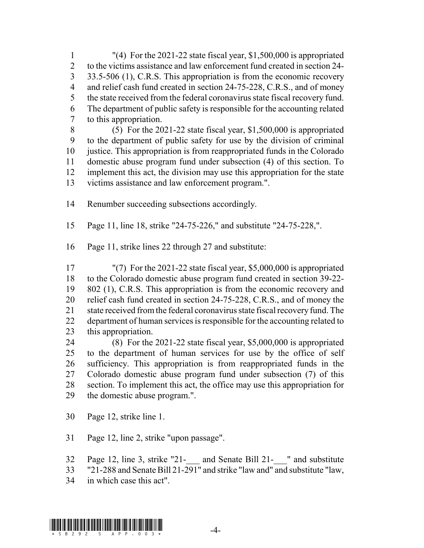"(4) For the 2021-22 state fiscal year, \$1,500,000 is appropriated to the victims assistance and law enforcement fund created in section 24- 3 33.5-506 (1), C.R.S. This appropriation is from the economic recovery 4 and relief cash fund created in section 24-75-228, C.R.S., and of money the state received from the federal coronavirus state fiscal recovery fund. The department of public safety is responsible for the accounting related to this appropriation.

 (5) For the 2021-22 state fiscal year, \$1,500,000 is appropriated to the department of public safety for use by the division of criminal justice. This appropriation is from reappropriated funds in the Colorado domestic abuse program fund under subsection (4) of this section. To implement this act, the division may use this appropriation for the state victims assistance and law enforcement program.".

Renumber succeeding subsections accordingly.

Page 11, line 18, strike "24-75-226," and substitute "24-75-228,".

Page 11, strike lines 22 through 27 and substitute:

 "(7) For the 2021-22 state fiscal year, \$5,000,000 is appropriated to the Colorado domestic abuse program fund created in section 39-22- 802 (1), C.R.S. This appropriation is from the economic recovery and relief cash fund created in section 24-75-228, C.R.S., and of money the state received from the federal coronavirus state fiscal recovery fund. The department of human services is responsible for the accounting related to this appropriation.

 (8) For the 2021-22 state fiscal year, \$5,000,000 is appropriated to the department of human services for use by the office of self sufficiency. This appropriation is from reappropriated funds in the Colorado domestic abuse program fund under subsection (7) of this section. To implement this act, the office may use this appropriation for the domestic abuse program.".

Page 12, strike line 1.

Page 12, line 2, strike "upon passage".

Page 12, line 3, strike "21-\_\_\_ and Senate Bill 21-\_\_\_" and substitute

"21-288 and Senate Bill 21-291" and strike "law and" and substitute "law,

in which case this act".